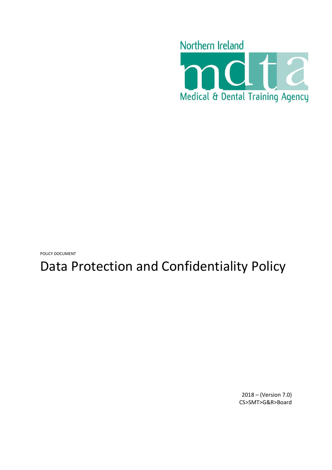

POLICY DOCUMENT

# Data Protection and Confidentiality Policy

2018 – (Version 7.0) CS>SMT>G&R>Board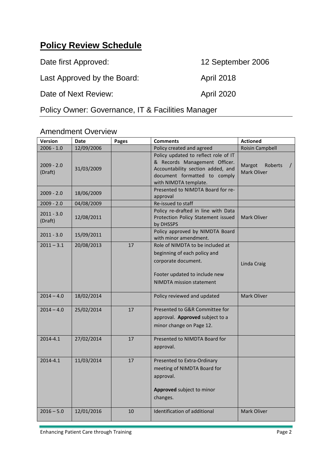# <span id="page-1-0"></span>**Policy Review Schedule**

Date first Approved: 12 September 2006 Last Approved by the Board: April 2018 Date of Next Review: April 2020

Policy Owner: Governance, IT & Facilities Manager

#### Amendment Overview

| <b>Version</b>          | <b>Date</b> | Pages | <b>Comments</b>                                                                                                                                                     | <b>Actioned</b>                  |
|-------------------------|-------------|-------|---------------------------------------------------------------------------------------------------------------------------------------------------------------------|----------------------------------|
| $2006 - 1.0$            | 12/09/2006  |       | Policy created and agreed                                                                                                                                           | <b>Roisin Campbell</b>           |
| $2009 - 2.0$<br>(Draft) | 31/03/2009  |       | Policy updated to reflect role of IT<br>& Records Management Officer.<br>Accountability section added, and<br>document formatted to comply<br>with NIMDTA template. | Margot<br>Roberts<br>Mark Oliver |
| $2009 - 2.0$            | 18/06/2009  |       | Presented to NIMDTA Board for re-<br>approval                                                                                                                       |                                  |
| $2009 - 2.0$            | 04/08/2009  |       | Re-issued to staff                                                                                                                                                  |                                  |
| $2011 - 3.0$<br>(Draft) | 12/08/2011  |       | Policy re-drafted in line with Data<br>Protection Policy Statement issued<br>by DHSSPS                                                                              | Mark Oliver                      |
| $2011 - 3.0$            | 15/09/2011  |       | Policy approved by NIMDTA Board<br>with minor amendment.                                                                                                            |                                  |
| $2011 - 3.1$            | 20/08/2013  | 17    | Role of NIMDTA to be included at<br>beginning of each policy and<br>corporate document.<br>Footer updated to include new<br><b>NIMDTA</b> mission statement         | Linda Craig                      |
| $2014 - 4.0$            | 18/02/2014  |       | Policy reviewed and updated                                                                                                                                         | Mark Oliver                      |
| $2014 - 4.0$            | 25/02/2014  | 17    | Presented to G&R Committee for<br>approval. Approved subject to a<br>minor change on Page 12.                                                                       |                                  |
| 2014-4.1                | 27/02/2014  | 17    | Presented to NIMDTA Board for<br>approval.                                                                                                                          |                                  |
| 2014-4.1                | 11/03/2014  | 17    | Presented to Extra-Ordinary<br>meeting of NIMDTA Board for<br>approval.<br>Approved subject to minor<br>changes.                                                    |                                  |
| $2016 - 5.0$            | 12/01/2016  | 10    | Identification of additional                                                                                                                                        | Mark Oliver                      |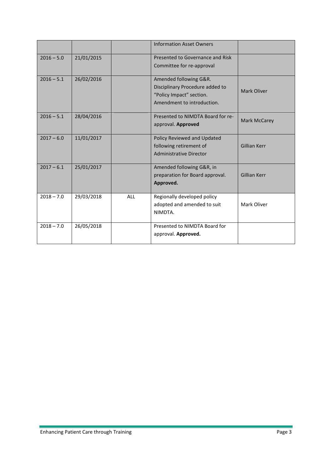|              |            |            | <b>Information Asset Owners</b>                                                                                     |                     |
|--------------|------------|------------|---------------------------------------------------------------------------------------------------------------------|---------------------|
| $2016 - 5.0$ | 21/01/2015 |            | Presented to Governance and Risk<br>Committee for re-approval                                                       |                     |
| $2016 - 5.1$ | 26/02/2016 |            | Amended following G&R.<br>Disciplinary Procedure added to<br>"Policy Impact" section.<br>Amendment to introduction. | Mark Oliver         |
| $2016 - 5.1$ | 28/04/2016 |            | Presented to NIMDTA Board for re-<br>approval. Approved                                                             | <b>Mark McCarey</b> |
| $2017 - 6.0$ | 11/01/2017 |            | Policy Reviewed and Updated<br>following retirement of<br>Administrative Director                                   | Gillian Kerr        |
| $2017 - 6.1$ | 25/01/2017 |            | Amended following G&R, in<br>preparation for Board approval.<br>Approved.                                           | <b>Gillian Kerr</b> |
| $2018 - 7.0$ | 29/03/2018 | <b>ALL</b> | Regionally developed policy<br>adopted and amended to suit<br>NIMDTA.                                               | Mark Oliver         |
| $2018 - 7.0$ | 26/05/2018 |            | Presented to NIMDTA Board for<br>approval. Approved.                                                                |                     |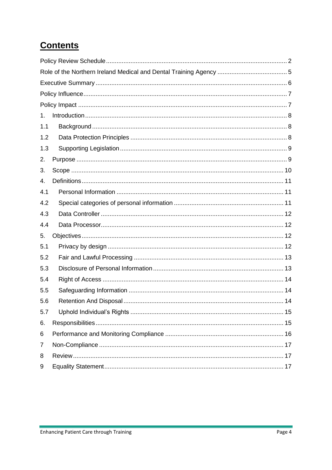# **Contents**

| 1.  |  |  |  |  |  |
|-----|--|--|--|--|--|
| 1.1 |  |  |  |  |  |
| 1.2 |  |  |  |  |  |
| 1.3 |  |  |  |  |  |
| 2.  |  |  |  |  |  |
| 3.  |  |  |  |  |  |
| 4.  |  |  |  |  |  |
| 4.1 |  |  |  |  |  |
| 4.2 |  |  |  |  |  |
| 4.3 |  |  |  |  |  |
| 4.4 |  |  |  |  |  |
| 5.  |  |  |  |  |  |
| 5.1 |  |  |  |  |  |
| 5.2 |  |  |  |  |  |
| 5.3 |  |  |  |  |  |
| 5.4 |  |  |  |  |  |
| 5.5 |  |  |  |  |  |
| 5.6 |  |  |  |  |  |
| 5.7 |  |  |  |  |  |
| 6.  |  |  |  |  |  |
| 6   |  |  |  |  |  |
| 7   |  |  |  |  |  |
| 8   |  |  |  |  |  |
| 9   |  |  |  |  |  |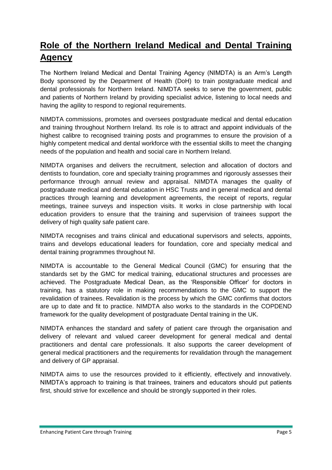# <span id="page-4-0"></span>**Role of the Northern Ireland Medical and Dental Training Agency**

The Northern Ireland Medical and Dental Training Agency (NIMDTA) is an Arm's Length Body sponsored by the Department of Health (DoH) to train postgraduate medical and dental professionals for Northern Ireland. NIMDTA seeks to serve the government, public and patients of Northern Ireland by providing specialist advice, listening to local needs and having the agility to respond to regional requirements.

NIMDTA commissions, promotes and oversees postgraduate medical and dental education and training throughout Northern Ireland. Its role is to attract and appoint individuals of the highest calibre to recognised training posts and programmes to ensure the provision of a highly competent medical and dental workforce with the essential skills to meet the changing needs of the population and health and social care in Northern Ireland.

NIMDTA organises and delivers the recruitment, selection and allocation of doctors and dentists to foundation, core and specialty training programmes and rigorously assesses their performance through annual review and appraisal. NIMDTA manages the quality of postgraduate medical and dental education in HSC Trusts and in general medical and dental practices through learning and development agreements, the receipt of reports, regular meetings, trainee surveys and inspection visits. It works in close partnership with local education providers to ensure that the training and supervision of trainees support the delivery of high quality safe patient care.

NIMDTA recognises and trains clinical and educational supervisors and selects, appoints, trains and develops educational leaders for foundation, core and specialty medical and dental training programmes throughout NI.

NIMDTA is accountable to the General Medical Council (GMC) for ensuring that the standards set by the GMC for medical training, educational structures and processes are achieved. The Postgraduate Medical Dean, as the 'Responsible Officer' for doctors in training, has a statutory role in making recommendations to the GMC to support the revalidation of trainees. Revalidation is the process by which the GMC confirms that doctors are up to date and fit to practice. NIMDTA also works to the standards in the COPDEND framework for the quality development of postgraduate Dental training in the UK.

NIMDTA enhances the standard and safety of patient care through the organisation and delivery of relevant and valued career development for general medical and dental practitioners and dental care professionals. It also supports the career development of general medical practitioners and the requirements for revalidation through the management and delivery of GP appraisal.

NIMDTA aims to use the resources provided to it efficiently, effectively and innovatively. NIMDTA's approach to training is that trainees, trainers and educators should put patients first, should strive for excellence and should be strongly supported in their roles.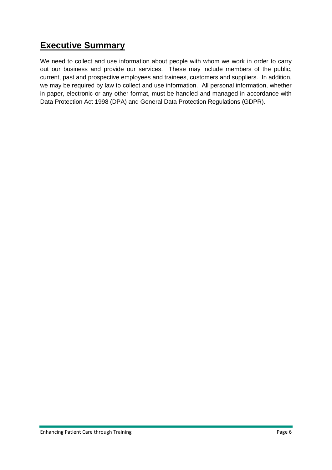## <span id="page-5-0"></span>**Executive Summary**

We need to collect and use information about people with whom we work in order to carry out our business and provide our services. These may include members of the public, current, past and prospective employees and trainees, customers and suppliers. In addition, we may be required by law to collect and use information. All personal information, whether in paper, electronic or any other format, must be handled and managed in accordance with Data Protection Act 1998 (DPA) and General Data Protection Regulations (GDPR).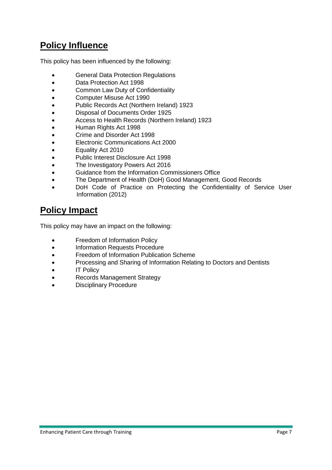# <span id="page-6-0"></span>**Policy Influence**

This policy has been influenced by the following:

- **•** General Data Protection Regulations
- Data Protection Act 1998
- Common Law Duty of Confidentiality
- Computer Misuse Act 1990
- Public Records Act (Northern Ireland) 1923
- Disposal of Documents Order 1925
- Access to Health Records (Northern Ireland) 1923
- Human Rights Act 1998
- Crime and Disorder Act 1998
- Electronic Communications Act 2000
- Equality Act 2010
- Public Interest Disclosure Act 1998
- The Investigatory Powers Act 2016
- Guidance from the Information Commissioners Office
- The Department of Health (DoH) Good Management, Good Records
- DoH Code of Practice on Protecting the Confidentiality of Service User Information (2012)

## <span id="page-6-1"></span>**Policy Impact**

This policy may have an impact on the following:

- Freedom of Information Policy
- Information Requests Procedure
- Freedom of Information Publication Scheme
- Processing and Sharing of Information Relating to Doctors and Dentists
- IT Policy
- Records Management Strategy
- Disciplinary Procedure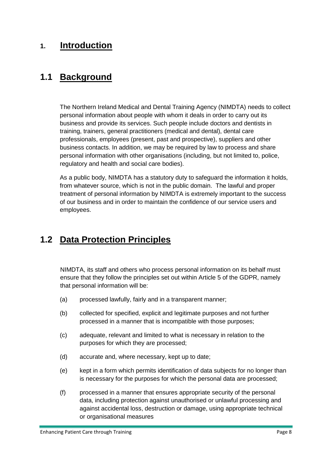#### <span id="page-7-0"></span>**1. Introduction**

#### <span id="page-7-1"></span>**1.1 Background**

The Northern Ireland Medical and Dental Training Agency (NIMDTA) needs to collect personal information about people with whom it deals in order to carry out its business and provide its services. Such people include doctors and dentists in training, trainers, general practitioners (medical and dental), dental care professionals, employees (present, past and prospective), suppliers and other business contacts. In addition, we may be required by law to process and share personal information with other organisations (including, but not limited to, police, regulatory and health and social care bodies).

As a public body, NIMDTA has a statutory duty to safeguard the information it holds, from whatever source, which is not in the public domain. The lawful and proper treatment of personal information by NIMDTA is extremely important to the success of our business and in order to maintain the confidence of our service users and employees.

## <span id="page-7-2"></span>**1.2 Data Protection Principles**

NIMDTA, its staff and others who process personal information on its behalf must ensure that they follow the principles set out within Article 5 of the GDPR, namely that personal information will be:

- (a) processed lawfully, fairly and in a transparent manner;
- (b) collected for specified, explicit and legitimate purposes and not further processed in a manner that is incompatible with those purposes;
- (c) adequate, relevant and limited to what is necessary in relation to the purposes for which they are processed;
- (d) accurate and, where necessary, kept up to date;
- (e) kept in a form which permits identification of data subjects for no longer than is necessary for the purposes for which the personal data are processed;
- (f) processed in a manner that ensures appropriate security of the personal data, including protection against unauthorised or unlawful processing and against accidental loss, destruction or damage, using appropriate technical or organisational measures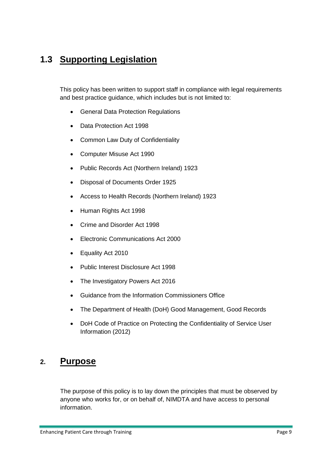# <span id="page-8-0"></span>**1.3 Supporting Legislation**

This policy has been written to support staff in compliance with legal requirements and best practice guidance, which includes but is not limited to:

- General Data Protection Regulations
- Data Protection Act 1998
- Common Law Duty of Confidentiality
- Computer Misuse Act 1990
- Public Records Act (Northern Ireland) 1923
- Disposal of Documents Order 1925
- Access to Health Records (Northern Ireland) 1923
- Human Rights Act 1998
- Crime and Disorder Act 1998
- Electronic Communications Act 2000
- Equality Act 2010
- Public Interest Disclosure Act 1998
- The Investigatory Powers Act 2016
- Guidance from the Information Commissioners Office
- The Department of Health (DoH) Good Management, Good Records
- DoH Code of Practice on Protecting the Confidentiality of Service User Information (2012)

#### <span id="page-8-1"></span>**2. Purpose**

The purpose of this policy is to lay down the principles that must be observed by anyone who works for, or on behalf of, NIMDTA and have access to personal information.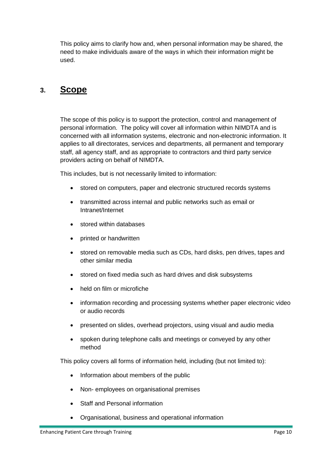This policy aims to clarify how and, when personal information may be shared, the need to make individuals aware of the ways in which their information might be used.

#### <span id="page-9-0"></span>**3. Scope**

The scope of this policy is to support the protection, control and management of personal information. The policy will cover all information within NIMDTA and is concerned with all information systems, electronic and non-electronic information. It applies to all directorates, services and departments, all permanent and temporary staff, all agency staff, and as appropriate to contractors and third party service providers acting on behalf of NIMDTA.

This includes, but is not necessarily limited to information:

- stored on computers, paper and electronic structured records systems
- transmitted across internal and public networks such as email or Intranet/Internet
- stored within databases
- printed or handwritten
- stored on removable media such as CDs, hard disks, pen drives, tapes and other similar media
- stored on fixed media such as hard drives and disk subsystems
- held on film or microfiche
- information recording and processing systems whether paper electronic video or audio records
- presented on slides, overhead projectors, using visual and audio media
- spoken during telephone calls and meetings or conveyed by any other method

This policy covers all forms of information held, including (but not limited to):

- Information about members of the public
- Non- employees on organisational premises
- Staff and Personal information
- Organisational, business and operational information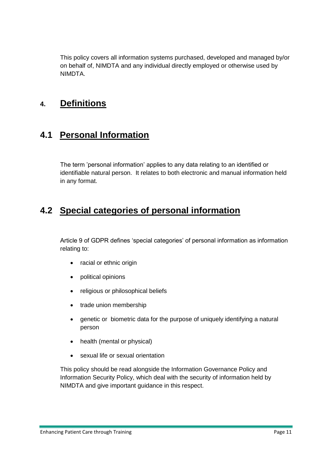This policy covers all information systems purchased, developed and managed by/or on behalf of, NIMDTA and any individual directly employed or otherwise used by NIMDTA.

#### <span id="page-10-0"></span>**4. Definitions**

## <span id="page-10-1"></span>**4.1 Personal Information**

The term 'personal information' applies to any data relating to an identified or identifiable natural person. It relates to both electronic and manual information held in any format.

## <span id="page-10-2"></span>**4.2 Special categories of personal information**

Article 9 of GDPR defines 'special categories' of personal information as information relating to:

- racial or ethnic origin
- political opinions
- religious or philosophical beliefs
- trade union membership
- genetic or biometric data for the purpose of uniquely identifying a natural person
- health (mental or physical)
- sexual life or sexual orientation

This policy should be read alongside the Information Governance Policy and Information Security Policy, which deal with the security of information held by NIMDTA and give important guidance in this respect.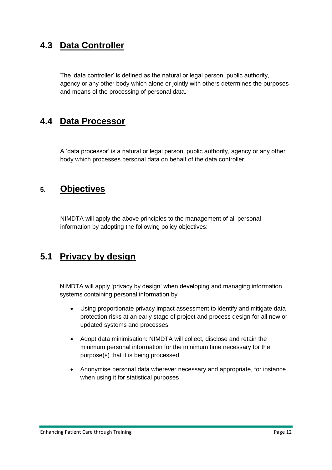## <span id="page-11-0"></span>**4.3 Data Controller**

The 'data controller' is defined as the natural or legal person, public authority, agency or any other body which alone or jointly with others determines the purposes and means of the processing of personal data.

#### <span id="page-11-1"></span>**4.4 Data Processor**

A 'data processor' is a natural or legal person, public authority, agency or any other body which processes personal data on behalf of the data controller.

#### <span id="page-11-2"></span>**5. Objectives**

NIMDTA will apply the above principles to the management of all personal information by adopting the following policy objectives:

## <span id="page-11-3"></span>**5.1 Privacy by design**

NIMDTA will apply 'privacy by design' when developing and managing information systems containing personal information by

- Using proportionate privacy impact assessment to identify and mitigate data protection risks at an early stage of project and process design for all new or updated systems and processes
- Adopt data minimisation: NIMDTA will collect, disclose and retain the minimum personal information for the minimum time necessary for the purpose(s) that it is being processed
- Anonymise personal data wherever necessary and appropriate, for instance when using it for statistical purposes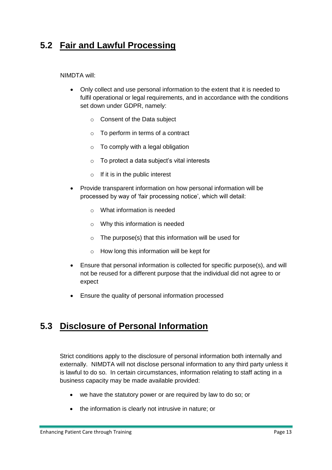## <span id="page-12-0"></span>**5.2 Fair and Lawful Processing**

NIMDTA will:

- Only collect and use personal information to the extent that it is needed to fulfil operational or legal requirements, and in accordance with the conditions set down under GDPR, namely:
	- o Consent of the Data subject
	- o To perform in terms of a contract
	- $\circ$  To comply with a legal obligation
	- o To protect a data subject's vital interests
	- $\circ$  If it is in the public interest
- Provide transparent information on how personal information will be processed by way of 'fair processing notice', which will detail:
	- o What information is needed
	- o Why this information is needed
	- o The purpose(s) that this information will be used for
	- o How long this information will be kept for
- Ensure that personal information is collected for specific purpose(s), and will not be reused for a different purpose that the individual did not agree to or expect
- Ensure the quality of personal information processed

#### <span id="page-12-1"></span>**5.3 Disclosure of Personal Information**

Strict conditions apply to the disclosure of personal information both internally and externally. NIMDTA will not disclose personal information to any third party unless it is lawful to do so. In certain circumstances, information relating to staff acting in a business capacity may be made available provided:

- we have the statutory power or are required by law to do so; or
- the information is clearly not intrusive in nature; or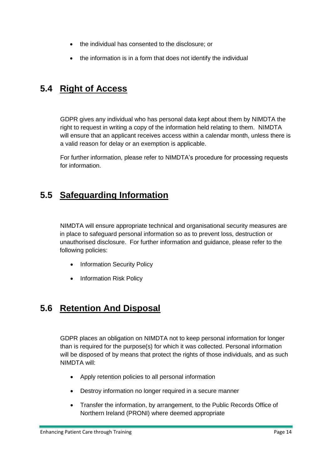- the individual has consented to the disclosure; or
- the information is in a form that does not identify the individual

## <span id="page-13-0"></span>**5.4 Right of Access**

GDPR gives any individual who has personal data kept about them by NIMDTA the right to request in writing a copy of the information held relating to them. NIMDTA will ensure that an applicant receives access within a calendar month, unless there is a valid reason for delay or an exemption is applicable.

For further information, please refer to NIMDTA's procedure for processing requests for information.

### <span id="page-13-1"></span>**5.5 Safeguarding Information**

NIMDTA will ensure appropriate technical and organisational security measures are in place to safeguard personal information so as to prevent loss, destruction or unauthorised disclosure. For further information and guidance, please refer to the following policies:

- Information Security Policy
- Information Risk Policy

## <span id="page-13-2"></span>**5.6 Retention And Disposal**

GDPR places an obligation on NIMDTA not to keep personal information for longer than is required for the purpose(s) for which it was collected. Personal information will be disposed of by means that protect the rights of those individuals, and as such NIMDTA will:

- Apply retention policies to all personal information
- Destroy information no longer required in a secure manner
- Transfer the information, by arrangement, to the Public Records Office of Northern Ireland (PRONI) where deemed appropriate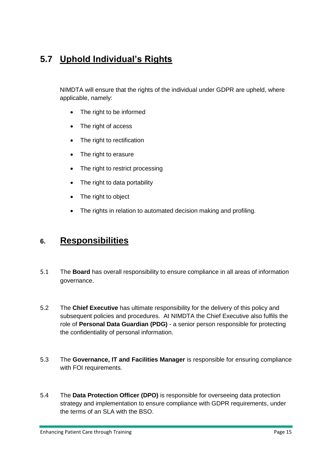# <span id="page-14-0"></span>**5.7 Uphold Individual's Rights**

NIMDTA will ensure that the rights of the individual under GDPR are upheld, where applicable, namely:

- The right to be informed
- The right of access
- The right to rectification
- The right to erasure
- The right to restrict processing
- The right to data portability
- The right to object
- The rights in relation to automated decision making and profiling.

#### <span id="page-14-1"></span>**6. Responsibilities**

- 5.1 The **Board** has overall responsibility to ensure compliance in all areas of information governance.
- 5.2 The **Chief Executive** has ultimate responsibility for the delivery of this policy and subsequent policies and procedures. At NIMDTA the Chief Executive also fulfils the role of **Personal Data Guardian (PDG)** - a senior person responsible for protecting the confidentiality of personal information.
- 5.3 The **Governance, IT and Facilities Manager** is responsible for ensuring compliance with FOI requirements.
- 5.4 The **Data Protection Officer (DPO)** is responsible for overseeing data protection strategy and implementation to ensure compliance with GDPR requirements, under the terms of an SLA with the BSO.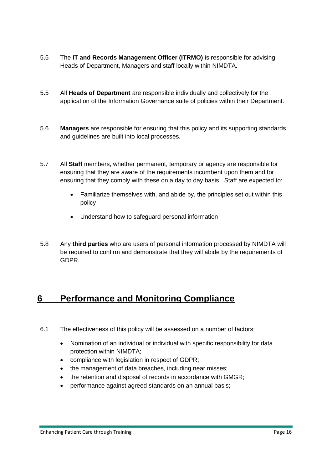- 5.5 The **IT and Records Management Officer (ITRMO)** is responsible for advising Heads of Department, Managers and staff locally within NIMDTA.
- 5.5 All **Heads of Department** are responsible individually and collectively for the application of the Information Governance suite of policies within their Department.
- 5.6 **Managers** are responsible for ensuring that this policy and its supporting standards and guidelines are built into local processes.
- 5.7 All **Staff** members, whether permanent, temporary or agency are responsible for ensuring that they are aware of the requirements incumbent upon them and for ensuring that they comply with these on a day to day basis. Staff are expected to:
	- Familiarize themselves with, and abide by, the principles set out within this policy
	- Understand how to safeguard personal information
- 5.8 Any **third parties** who are users of personal information processed by NIMDTA will be required to confirm and demonstrate that they will abide by the requirements of GDPR.

## <span id="page-15-0"></span>**6 Performance and Monitoring Compliance**

- 6.1 The effectiveness of this policy will be assessed on a number of factors:
	- Nomination of an individual or individual with specific responsibility for data protection within NIMDTA;
	- compliance with legislation in respect of GDPR:
	- the management of data breaches, including near misses;
	- the retention and disposal of records in accordance with GMGR;
	- performance against agreed standards on an annual basis;